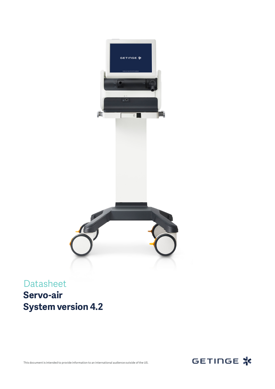

Datasheet **Servo-air System version 4.2**



This document is intended to provide information to an international audience outside of the US.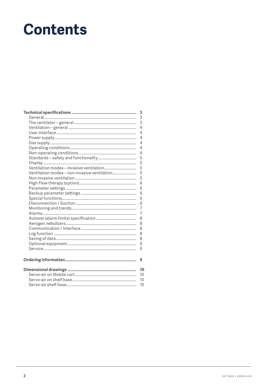# **Contents**

|                                              | 3  |
|----------------------------------------------|----|
|                                              | 3  |
|                                              | 3  |
|                                              | 4  |
|                                              | 4  |
|                                              | 4  |
|                                              | 4  |
|                                              | 4  |
|                                              | 4  |
|                                              | 5  |
|                                              | 5  |
|                                              | 5  |
| Ventilation modes - non invasive ventilation | 5  |
|                                              | 5  |
|                                              | 6  |
|                                              | 6  |
|                                              | 6  |
|                                              | 6  |
|                                              | 6  |
|                                              | 7  |
|                                              | 7  |
|                                              | 8  |
|                                              | 8  |
|                                              | 8  |
|                                              | 8  |
|                                              | 8  |
|                                              | 9  |
|                                              | 9  |
|                                              |    |
|                                              | 9  |
|                                              |    |
|                                              | 10 |
|                                              | 10 |
|                                              | 10 |
|                                              | 10 |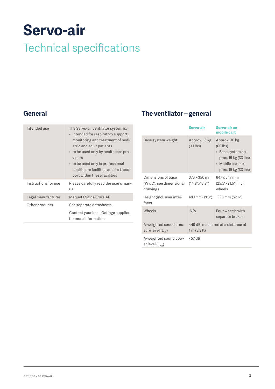# <span id="page-2-0"></span>**Servo-air** Technical specifications

#### **General**

| Intended use         | The Servo-air ventilator system is:<br>• intended for respiratory support,<br>monitoring and treatment of pedi-<br>atric and adult patients<br>• to be used only by healthcare pro-<br>viders<br>• to be used only in professional<br>healthcare facilities and for trans-<br>port within these facilities |
|----------------------|------------------------------------------------------------------------------------------------------------------------------------------------------------------------------------------------------------------------------------------------------------------------------------------------------------|
| Instructions for use | Please carefully read the user's man-<br>ual                                                                                                                                                                                                                                                               |
| Legal manufacturer   | <b>Maquet Critical Care AB</b>                                                                                                                                                                                                                                                                             |
| Other products       | See separate datasheets.                                                                                                                                                                                                                                                                                   |
|                      | Contact your local Getinge supplier<br>for more information.                                                                                                                                                                                                                                               |

#### **The ventilator – general**

|                                                            | Servo-air                              | Servo-air on<br>mobile cart                                                                                           |
|------------------------------------------------------------|----------------------------------------|-----------------------------------------------------------------------------------------------------------------------|
| Base system weight                                         | Approx. 15 kg<br>$(33$ lbs)            | Approx. 30 kg<br>$(66$ lbs)<br>• Base system ap-<br>prox. 15 kg (33 lbs)<br>• Mobile cart ap-<br>prox. 15 kg (33 lbs) |
| Dimensions of base<br>(W x D), see dimensional<br>drawings | 375 x 350 mm<br>$(14.8" \times 13.8")$ | 647 x 547 mm<br>(25.5"x21.5") incl.<br>wheels                                                                         |
| Height (incl. user inter-<br>face)                         | 489 mm (19.3")                         | 1335 mm (52.6")                                                                                                       |
| Wheels                                                     | N/A                                    | Four wheels with<br>separate brakes                                                                                   |
| A-weighted sound pres-<br>sure level (L <sub>DA</sub> )    | 1 m (3.3 ft)                           | <49 dB, measured at a distance of                                                                                     |
| A-weighted sound pow-<br>er level (L <sub>wA</sub> )       | $<$ 57 dB                              |                                                                                                                       |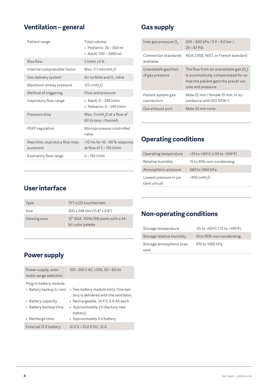#### <span id="page-3-0"></span>**Ventilation – general**

| Patient range                               | Tidal volume:<br>$\bullet$ Pediatric: 20 – 350 ml<br>• Adult: 100 - 2000 ml |
|---------------------------------------------|-----------------------------------------------------------------------------|
| <b>Bias flow</b>                            | $2$ l/min $±5%$                                                             |
| Internal compressible factor                | Max. $0.1$ ml/cmH <sub>2</sub> O                                            |
| Gas delivery system                         | Air turbine and $O2$ valve                                                  |
| Maximum airway pressure                     | 125 cmH <sub>2</sub> O                                                      |
| Method of triggering                        | Flow and pressure                                                           |
| Inspiratory flow range                      | • Adult: 0 - 240 l/min<br>• Pediatric: $0 - 240$ l/min                      |
| Pressure drop                               | Max. $3 \text{ cmH}_2O$ at a flow of<br>60 l/s (exp. channel)               |
| PEEP regulation                             | Microprocessor controlled<br>valve                                          |
| Rise time, expiratory flow mea-<br>surement | $<$ 12 ms for 10 – 90 % response<br>at flow of $3 - 192$ l/min              |
| Expiratory flow range                       | $0 - 192$ l/min                                                             |
|                                             |                                                                             |

#### **Gas supply**

| Inlet gas pressure O <sub>2</sub>       | 200 - 600 kPa / 2.0 - 6.0 bar /<br>$29 - 87$ PSI                                                                                              |
|-----------------------------------------|-----------------------------------------------------------------------------------------------------------------------------------------------|
| Connection standards<br>available       | AGA, DISS, NIST, or French standard                                                                                                           |
| Unavailable gas/loss<br>of gas pressure | The flow from an unavailable gas $(O_2)$<br>is automatically compensated for so<br>that the patient gets the preset vol-<br>ume and pressure. |
| Patient system gas<br>connectors        | Male 22 mm / female 15 mm. In ac-<br>cordance with ISO 5356-1.                                                                                |
| Gas exhaust port                        | Male 30 mm cone                                                                                                                               |

#### **Operating conditions**

| Operating temperature                   | +10 to +40 $\degree$ C (+50 to +104 $\degree$ F) |
|-----------------------------------------|--------------------------------------------------|
| Relative humidity                       | 15 to 95% non-condensing                         |
| Atmospheric pressure                    | 660 to 1060 hPa                                  |
| Lowest pressure in pa-<br>tient circuit | $-400$ cmH <sub>2</sub> O                        |

#### **User interface**

| <b>Type</b>  | TFT-LCD touchscreen                                      |
|--------------|----------------------------------------------------------|
| Size         | $300 \times 248$ mm $(11.8" \times 9.8")$                |
| Viewing area | 12" XGA, 1024x768 pixels with a 24-<br>bit color palette |

### **Non-operating conditions**

| Storage temperature               | $-25$ to $+60$ °C (-13 to $+140$ °F) |
|-----------------------------------|--------------------------------------|
| Storage relative humidity         | 10 to 95% non-condensing             |
| Storage atmospheric pres-<br>sure | 470 to 1060 hPa                      |
|                                   |                                      |

#### **Power supply**

| Power supply, auto-<br>matic range selection         | 100-240 V AC ±10%, 50-60 Hz                                                    |
|------------------------------------------------------|--------------------------------------------------------------------------------|
| Plug-in battery module:<br>• Battery backup (Li-ion) | • Two battery module slots. One bat-<br>tery is delivered with the ventilator. |
| • Battery capacity                                   | • Rechargeable, 14.4 V, 6.6 Ah each                                            |
| • Battery backup time                                | • Approximately 2 h (factory new<br>battery)                                   |
| • Recharge time                                      | • Approximately 3 h/battery                                                    |
| External 12 V battery                                | 12.0 V - 15.0 V DC, 15 A                                                       |
|                                                      |                                                                                |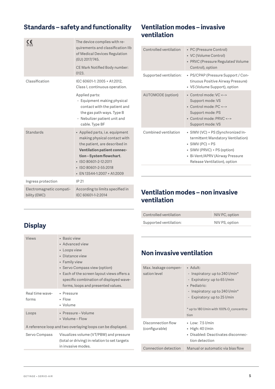#### <span id="page-4-0"></span>**Standards – safety and functionality**

| CE<br>0123                               | The device complies with re-<br>quirements and classification IIb<br>of Medical Devices Regulation<br>(EU) 2017/745.                                                                                                                              |
|------------------------------------------|---------------------------------------------------------------------------------------------------------------------------------------------------------------------------------------------------------------------------------------------------|
|                                          | CE Mark Notified Body number:<br>0123.                                                                                                                                                                                                            |
| Classification                           | IEC 60601-1: 2005 + A1:2012,<br>Class I, continuous operation.                                                                                                                                                                                    |
|                                          | Applied parts:<br>- Equipment making physical<br>contact with the patient and<br>the gas path ways. Type B<br>- Nebulizer patient unit and<br>cable. Type BF                                                                                      |
| <b>Standards</b>                         | • Applied parts, i.e. equipment<br>making physical contact with<br>the patient, are described in<br><b>Ventilation patient connec-</b><br>tion-System flowchart.<br>· ISO 80601-2-12:2011<br>· ISO 80601-2-55:2018<br>• EN 13544-1:2007 + A1:2009 |
| Ingress protection                       | IP 21                                                                                                                                                                                                                                             |
| Electromagnetic compati-<br>bility (EMC) | According to limits specified in<br>IEC 60601-1-2:2014                                                                                                                                                                                            |

#### **Ventilation modes – invasive ventilation**

| Controlled ventilation   | • PC (Pressure Control)<br>• VC (Volume Control)<br>• PRVC (Pressure Regulated Volume<br>Control), option                                                                                             |
|--------------------------|-------------------------------------------------------------------------------------------------------------------------------------------------------------------------------------------------------|
| Supported ventilation:   | • PS/CPAP (Pressure Support / Con-<br>tinuous Positive Airway Pressure)<br>• VS (Volume Support), option                                                                                              |
| <b>AUTOMODE</b> (option) | • Control mode: VC <-><br>Support mode: VS<br>• Control mode: PC <-><br>Support mode: PS<br>• Control mode: PRVC <-><br>Support mode: VS                                                              |
| Combined ventilation     | • SIMV (VC) + PS (Synchronized In-<br>termittent Mandatory Ventilation)<br>$\bullet$ SIMV (PC) + PS<br>• SIMV (PRVC) + PS (option)<br>• Bi-Vent/APRV (Airway Pressure<br>Release Ventilation), option |

#### **Ventilation modes – non invasive ventilation**

| Controlled ventilation | NIV PC, option |
|------------------------|----------------|
| Supported ventilation: | NIV PS, option |

#### **Display**

| Views                                                       | • Basic view<br>• Advanced view<br>• Loops view<br>Distance view<br>• Family view<br>• Servo Compass view (option)<br>• Each of the screen layout views offers a<br>specific combination of displayed wave-<br>forms, loops and presented values. |
|-------------------------------------------------------------|---------------------------------------------------------------------------------------------------------------------------------------------------------------------------------------------------------------------------------------------------|
| Real time wave-<br>forms                                    | • Pressure<br>$\cdot$ Flow<br>• Volume                                                                                                                                                                                                            |
| Loops                                                       | · Pressure - Volume<br>• Volume – Flow                                                                                                                                                                                                            |
| A reference loop and two overlaying loops can be displayed. |                                                                                                                                                                                                                                                   |
| Servo Compass                                               | Visualizes volume (VT/PBW) and pressure<br>(total or driving) in relation to set targets<br>in invasive modes.                                                                                                                                    |

#### **Non invasive ventilation**

I

| Max. leakage compen- | • Adult:                                              |
|----------------------|-------------------------------------------------------|
| sation level         | - Inspiratory: up to 240 l/min*                       |
|                      | - Expiratory: up to 65 l/min                          |
|                      | • Pediatric:                                          |
|                      | - Inspiratory: up to 240 l/min*                       |
|                      | - Expiratory: up to 25 l/min                          |
|                      |                                                       |
|                      | * up to 180 l/min with 100% O <sub>2</sub> concentra- |
|                      | tion                                                  |
| Disconnection flow   | • Low: 7.5 l/min                                      |
| (configurable)       | $\bullet$ High: 40 l/min                              |
|                      | • Disabled: Deactivates disconnec-                    |
|                      | tion detection                                        |
| Connection detection | Manual or automatic via bias flow                     |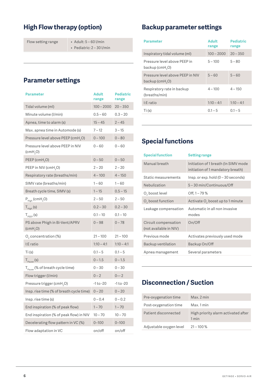#### <span id="page-5-0"></span>**High Flow therapy (option)**

```
Flow setting range • Adult: 5 - 60 l/min
```
• Pediatric: 2 – 30 l/min

#### **Parameter settings**

| <b>Parameter</b>                               | Adult<br>range | Pediatric<br>range |
|------------------------------------------------|----------------|--------------------|
| Tidal volume (ml)                              | $100 - 2000$   | $20 - 350$         |
| Minute volume (I/min)                          | $0.5 - 60$     | $0.3 - 20$         |
| Apnea, time to alarm (s)                       | $15 - 45$      | $2 - 45$           |
| Max. apnea time in Automode (s)                | $7 - 12$       | $3 - 15$           |
| Pressure level above PEEP (cmH <sub>2</sub> O) | $0 - 100$      | $0 - 80$           |
| Pressure level above PEEP in NIV<br>(cmH, O)   | $0 - 60$       | $0 - 60$           |
| PEEP (cmH <sub>2</sub> O)                      | $0 - 50$       | $0 - 50$           |
| PEEP in NIV (cmH <sub>2</sub> O)               | $2 - 20$       | $2 - 20$           |
| Respiratory rate (breaths/min)                 | $4 - 100$      | $4 - 150$          |
| SIMV rate (breaths/min)                        | $1 - 60$       | $1 - 60$           |
| Breath cycle time, SIMV (s)                    | $1 - 15$       | $0.5 - 15$         |
| $P_{High}$ (cmH <sub>2</sub> O)                | $2 - 50$       | $2 - 50$           |
| $T_{\text{High}}$ (s)                          | $0.2 - 30$     | $0.2 - 30$         |
| $T_{\text{peep}}$ (s)                          | $0.1 - 10$     | $0.1 - 10$         |
| PS above Phigh in Bi-Vent/APRV<br>(cmH, O)     | $0 - 98$       | $0 - 78$           |
| $O2$ concentration (%)                         | $21 - 100$     | $21 - 100$         |
| I:E ratio                                      | $1:10 - 4:1$   | $1:10 - 4:1$       |
| Ti(s)                                          | $0.1 - 5$      | $0.1 - 5$          |
| $T_{\text{Pause}}$ (s)                         | $0 - 1.5$      | $0 - 1.5$          |
| $T_{\text{pause}}$ (% of breath cycle time)    | $0 - 30$       | $0 - 30$           |
| Flow trigger (l/min)                           | $0 - 2$        | $0 - -2$           |
| Pressure trigger (cmH <sub>2</sub> O)          | -1 to -20      | -1 to -20          |
| Insp. rise time (% of breath cycle time)       | $0 - 20$       | $0 - 20$           |
| Insp. rise time (s)                            | 0 – 0.4        | $0 - 0.2$          |
| End inspiration (% of peak flow)               | $1 - 70$       | $1 - 70$           |
| End inspiration (% of peak flow) in NIV        | $10 - 70$      | $10 - 70$          |
| Decelerating flow pattern in VC (%)            | $0 - 100$      | $0 - 100$          |
| Flow adaptation in VC                          | on/off         | on/off             |

#### **Backup parameter settings**

| <b>Parameter</b>                                                   | Adult<br>range | <b>Pediatric</b><br>range |
|--------------------------------------------------------------------|----------------|---------------------------|
| Inspiratory tidal volume (ml)                                      | $100 - 2000$   | $20 - 350$                |
| Pressure level above PEEP in<br>backup (cmH <sub>2</sub> O)        | $5 - 100$      | $5 - 80$                  |
| Pressure level above PEEP in NIV<br>backup (cm $H$ <sub>2</sub> O) | $5 - 60$       | $5 - 60$                  |
| Respiratory rate in backup<br>(breaths/min)                        | $4 - 100$      | $4 - 150$                 |
| I:E ratio                                                          | $1:10 - 4:1$   | $1:10 - 4:1$              |
| Ti(S)                                                              | $0.1 - 5$      | $0.1 - 5$                 |

#### **Special functions**

| <b>Special function</b>                        | <b>Setting range</b>                                                      |
|------------------------------------------------|---------------------------------------------------------------------------|
| Manual breath                                  | Initiation of 1 breath (In SIMV mode<br>initiation of 1 mandatory breath) |
| Static measurements                            | $l$ nsp. or exp. hold (0 – 30 seconds)                                    |
| Nebulization                                   | 5-30 min/Continuous/Off                                                   |
| O, boost level                                 | Off, $1 - 79\%$                                                           |
| $O2$ boost function                            | Activate O <sub>2</sub> boost up to 1 minute                              |
| Leakage compensation                           | Automatic in all non invasive<br>modes                                    |
| Circuit compensation<br>(not available in NIV) | On/Off                                                                    |
| Previous mode                                  | Activates previously used mode                                            |
| Backup ventilation                             | Backup On/Off                                                             |
| Apnea management                               | Several parameters                                                        |

#### **Disconnection / Suction**

| Pre-oxygenation time    | Max. 2 min                                   |
|-------------------------|----------------------------------------------|
| Post-oxygenation time   | Max. 1 min                                   |
| Patient disconnected    | High priority alarm activated after<br>1 min |
| Adjustable oxygen level | $21 - 100\%$                                 |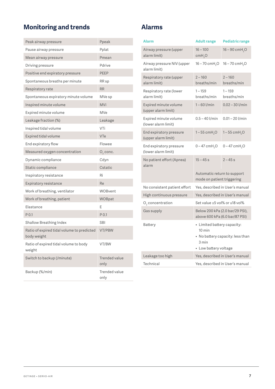### <span id="page-6-0"></span>**Monitoring and trends**

| Peak airway pressure                                      | Ppeak                        |
|-----------------------------------------------------------|------------------------------|
| Pause airway pressure                                     | Pplat                        |
| Mean airway pressure                                      | Pmean                        |
| Driving pressure                                          | Pdrive                       |
| Positive end expiratory pressure                          | <b>PEEP</b>                  |
| Spontaneous breaths per minute                            | RR sp                        |
| Respiratory rate                                          | <b>RR</b>                    |
| Spontaneous expiratory minute volume                      | MVe sp                       |
| Inspired minute volume                                    | <b>MVi</b>                   |
| Expired minute volume                                     | <b>MVe</b>                   |
| Leakage fraction (%)                                      | Leakage                      |
| Inspired tidal volume                                     | VTi                          |
| Expired tidal volume                                      | <b>VTe</b>                   |
| End expiratory flow                                       | Flowee                       |
| Measured oxygen concentration                             | O <sub>2</sub> conc.         |
| Dynamic compliance                                        | Cdyn                         |
| Static compliance                                         | Cstatic                      |
| Inspiratory resistance                                    | Ri                           |
| Expiratory resistance                                     | Re                           |
| Work of breathing, ventilator                             | WOBvent                      |
| Work of breathing, patient                                | WOBpat                       |
| Elastance                                                 | E                            |
| P <sub>0.1</sub>                                          | P 0.1                        |
| Shallow Breathing Index                                   | <b>SBI</b>                   |
| Ratio of expired tidal volume to predicted<br>body weight | VT/PBW                       |
| Ratio of expired tidal volume to body<br>weight           | VT/BW                        |
| Switch to backup (/minute)                                | <b>Trended value</b><br>only |
| Backup (%/min)                                            | Trended value<br>only        |

#### **Alarms**

| Alarm                                          | <b>Adult range</b>                                                                                                    | <b>Pediatric range</b>          |
|------------------------------------------------|-----------------------------------------------------------------------------------------------------------------------|---------------------------------|
| Airway pressure (upper<br>alarm limit)         | $16 - 100$<br>cmH <sub>2</sub> O                                                                                      | $16 - 90$ cmH <sub>2</sub> O    |
| Airway pressure NIV (upper<br>alarm limit)     | $16 - 70$ cmH <sub>2</sub> O                                                                                          | $16 - 70$ cmH <sub>2</sub> O    |
| Respiratory rate (upper<br>alarm limit)        | $2 - 160$<br>breaths/min                                                                                              | $2 - 160$<br>breaths/min        |
| Respiratory rate (lower<br>alarm limit)        | $1 - 159$<br>breaths/min                                                                                              | $1 - 159$<br>breaths/min        |
| Expired minute volume<br>(upper alarm limit)   | $1 - 60$ l/min                                                                                                        | $0.02 - 30$ l/min               |
| Expired minute volume<br>(lower alarm limit)   | $0.5 - 40$ l/min                                                                                                      | $0.01 - 20$ l/min               |
| End expiratory pressure<br>(upper alarm limit) | $1 - 55$ cmH <sub>2</sub> O                                                                                           | $1 - 55$ cmH <sub>2</sub> O     |
| End expiratory pressure<br>(lower alarm limit) | $0 - 47$ cmH <sub>2</sub> O                                                                                           | $0 - 47$ cmH <sub>2</sub> O     |
| No patient effort (Apnea)<br>alarm             | $15 - 45 s$                                                                                                           | $2 - 45s$                       |
|                                                | Automatic return to support<br>mode on patient triggering                                                             |                                 |
| No consistent patient effort                   |                                                                                                                       | Yes, described in User's manual |
| High continuous pressure                       |                                                                                                                       | Yes, described in User's manual |
| $O2$ concentration                             | Set value ±5 vol% or ≤18 vol%                                                                                         |                                 |
| Gas supply                                     | above 600 kPa (6.0 bar/87 PSI)                                                                                        | Below 200 kPa (2.0 bar/29 PSI), |
| Battery                                        | • Limited battery capacity:<br>$10 \text{ min}$<br>• No battery capacity: less than<br>3 min<br>· Low battery voltage |                                 |
| Leakage too high                               |                                                                                                                       | Yes, described in User's manual |
| Technical                                      |                                                                                                                       | Yes, described in User's manual |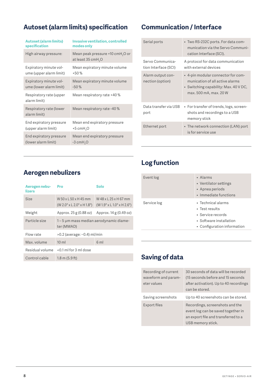#### <span id="page-7-0"></span>**Autoset (alarm limits) specification Communication / Interface**

| <b>Autoset (alarm limits)</b>           | <b>Invasive ventilation, controlled</b>                                        |
|-----------------------------------------|--------------------------------------------------------------------------------|
| specification                           | modes only                                                                     |
| High airway pressure:                   | Mean peak pressure +10 cmH <sub>2</sub> O or<br>at least 35 cmH <sub>2</sub> O |
| Expiratory minute vol-                  | Mean expiratory minute volume                                                  |
| ume (upper alarm limit)                 | $+50%$                                                                         |
| Expiratory minute vol-                  | Mean expiratory minute volume                                                  |
| ume (lower alarm limit)                 | $-50%$                                                                         |
| Respiratory rate (upper<br>alarm limit) | Mean respiratory rate +40%                                                     |
| Respiratory rate (lower<br>alarm limit) | Mean respiratory rate -40%                                                     |
| End expiratory pressure                 | Mean end expiratory pressure                                                   |
| (upper alarm limit)                     | $+5$ cmH <sub>2</sub> O                                                        |
| End expiratory pressure                 | Mean end expiratory pressure                                                   |
| (lower alarm limit)                     | $-3$ cm $H2O$                                                                  |

| Serial ports                             | • Two RS-232C ports. For data com-<br>munication via the Servo Communi-<br>cation Interface (SCI).                                       |
|------------------------------------------|------------------------------------------------------------------------------------------------------------------------------------------|
| Servo Communica-<br>tion Interface (SCI) | A protocol for data communication<br>with external devices                                                                               |
| Alarm output con-<br>nection (option)    | • 4-pin modular connector for com-<br>munication of all active alarms<br>• Switching capability: Max. 40 V DC,<br>max. 500 mA, max. 20 W |
| Data transfer via USB<br>port            | • For transfer of trends, logs, screen-<br>shots and recordings to a USB<br>memory stick                                                 |
| Ethernet port                            | • The network connection (LAN) port<br>is for service use                                                                                |

### **Aerogen nebulizers**

| Aerogen nebu-<br>lizers | Pro                                                            | Solo                                                            |
|-------------------------|----------------------------------------------------------------|-----------------------------------------------------------------|
| Size                    | W 50 x 1 50 x 145 mm<br>$(W 2.0" \times L 2.0" \times H 1.8")$ | W 48 x 1 25 x H 67 mm<br>$(W 1.9" \times L 1.0" \times H 2.6")$ |
| Weight                  | Approx. 25 g (0.88 oz)                                         | Approx. 14 g (0.49 oz)                                          |
| Particle size           | 1-5 µm mass median aerodynamic diame-<br>ter (MMAD)            |                                                                 |
| Flow rate               | $>0.2$ (average: $\sim$ 0.4) ml/min                            |                                                                 |
| Max. volume             | $10 \mathrm{m}$                                                | 6ml                                                             |
| Residual volume         | $< 0.1$ ml for 3 ml dose                                       |                                                                 |
| Control cable           | $1.8 \text{ m}$ (5.9 ft)                                       |                                                                 |

### **Log function**

| Event log   | • Alarms<br>• Ventilator settings<br>• Apnea periods<br>• Immediate functions                                       |
|-------------|---------------------------------------------------------------------------------------------------------------------|
| Service log | • Technical alarms<br>• Test results<br>• Service records<br>• Software installation<br>• Configuration information |

### **Saving of data**

| Recording of current<br>waveform and param-<br>eter values | 30 seconds of data will be recorded<br>(15 seconds before and 15 seconds<br>after activation). Up to 40 recordings                |
|------------------------------------------------------------|-----------------------------------------------------------------------------------------------------------------------------------|
|                                                            | can be stored.                                                                                                                    |
| Saving screenshots                                         | Up to 40 screenshots can be stored.                                                                                               |
| Export files                                               | Recordings, screenshots and the<br>event log can be saved together in<br>an export file and transferred to a<br>USB memory stick. |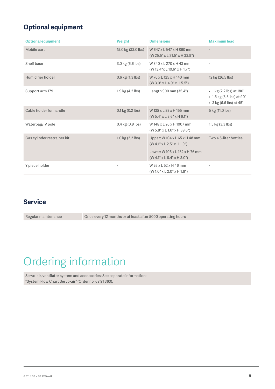### <span id="page-8-0"></span>**Optional equipment**

| <b>Optional equipment</b>   | Weight             | <b>Dimensions</b>                                                       | <b>Maximum load</b>                                                              |
|-----------------------------|--------------------|-------------------------------------------------------------------------|----------------------------------------------------------------------------------|
| Mobile cart                 | 15.0 kg (33.0 lbs) | W 647 x L 547 x H 860 mm<br>$(W 25.5" \times L 21.5" \times H 33.9")$   |                                                                                  |
| Shelf base                  | 3.0 kg (6.6 lbs)   | W 340 x L 270 x H 43 mm<br>$(W 13.4" \times L 10.6" \times H 1.7")$     |                                                                                  |
| Humidifier holder           | 0.6 kg (1.3 lbs)   | W 76 x L 125 x H 140 mm<br>$(W 3.0" \times L 4.9" \times H 5.5")$       | 12 kg (26.5 lbs)                                                                 |
| Support arm 179             | 1.9 kg (4.2 lbs)   | Length 900 mm (35.4")                                                   | • 1 kg (2.2 lbs) at 180°<br>• 1.5 kg (3.3 lbs) at 90°<br>• 3 kg (6.6 lbs) at 45° |
| Cable holder for handle     | $0.1$ kg (0.2 lbs) | W 138 x L 92 x H 155 mm<br>$(W 5.4" \times L 3.6" \times H 6.1")$       | 5 kg (11.0 lbs)                                                                  |
| Waterbag/IV pole            | 0.4 kg (0.9 lbs)   | W 148 x L 26 x H 1007 mm<br>$(W 5.8" \times L 1.0" \times H 39.6")$     | 1.5 kg (3.3 lbs)                                                                 |
| Gas cylinder restrainer kit | 1.0 kg (2.2 lbs)   | Upper: W 104 x L 65 x H 48 mm<br>$(W 4.1" \times L 2.5" \times H 1.9")$ | Two 4.5-liter bottles                                                            |
|                             |                    | Lower: W106 x L162 x H76 mm<br>$(W 4.1" \times L 6.4" \times H 3.0")$   |                                                                                  |
| Y piece holder              |                    | W 26 x L 52 x H 46 mm<br>$(W 1.0" \times L 2.0" \times H 1.8")$         |                                                                                  |

#### **Service**

| Regular maintenance | Once every 12 months or at least after 5000 operating hours |
|---------------------|-------------------------------------------------------------|
|                     |                                                             |

## Ordering information

Servo-air, ventilator system and accessories: See separate information: "System Flow Chart Servo-air" (Order no: 68 91 363).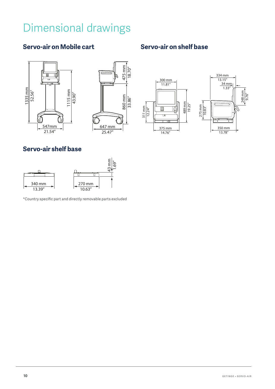## <span id="page-9-0"></span>Dimensional drawings

#### **Servo-air on Mobile cart Servo-air on shelf base**







#### **Servo-air shelf base**



\*Country specific part and directly removable parts excluded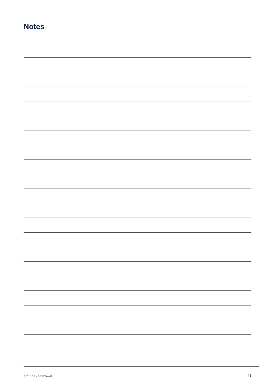| N<br><b>ote</b><br>c |
|----------------------|
|----------------------|